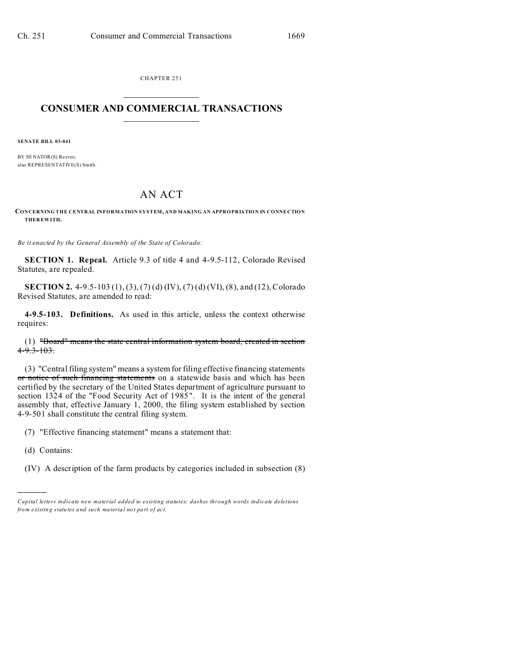CHAPTER 251  $\overline{\phantom{a}}$  , where  $\overline{\phantom{a}}$ 

## **CONSUMER AND COMMERCIAL TRANSACTIONS**  $\_$   $\_$   $\_$   $\_$   $\_$   $\_$   $\_$   $\_$

**SENATE BILL 03-041**

BY SENATOR(S) Reeves; also REPRESENTATIVE(S) Smith.

## AN ACT

**CONCERNING THE CENTRAL INFORMATION SYSTEM, AND MAKING AN APPROPRIATION IN CONNECTION THER EWITH.**

*Be it enacted by the General Assembly of the State of Colorado:*

**SECTION 1. Repeal.** Article 9.3 of title 4 and 4-9.5-112, Colorado Revised Statutes, are repealed.

**SECTION 2.** 4-9.5-103 (1), (3), (7) (d) (IV), (7) (d) (VI), (8), and (12), Colorado Revised Statutes, are amended to read:

**4-9.5-103. Definitions.** As used in this article, unless the context otherwise requires:

(1) "Board" means the state central information system board, created in section  $4 - 9.3 - 103.$ 

(3) "Central filing system" means a system for filing effective financing statements or notice of such financing statements on a statewide basis and which has been certified by the secretary of the United States department of agriculture pursuant to section 1324 of the "Food Security Act of 1985". It is the intent of the general assembly that, effective January 1, 2000, the filing system established by section 4-9-501 shall constitute the central filing system.

(7) "Effective financing statement" means a statement that:

(d) Contains:

)))))

(IV) A description of the farm products by categories included in subsection (8)

*Capital letters indicate new material added to existing statutes; dashes through words indicate deletions from e xistin g statu tes a nd such ma teria l no t pa rt of ac t.*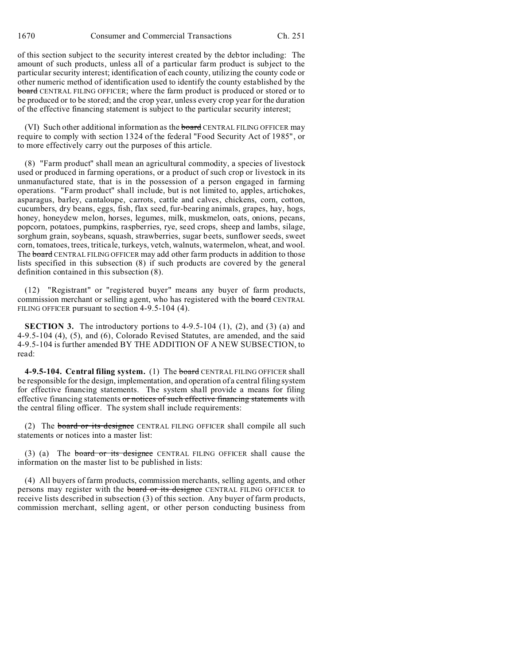of this section subject to the security interest created by the debtor including: The amount of such products, unless all of a particular farm product is subject to the particular security interest; identification of each county, utilizing the county code or other numeric method of identification used to identify the county established by the board CENTRAL FILING OFFICER; where the farm product is produced or stored or to be produced or to be stored; and the crop year, unless every crop year for the duration of the effective financing statement is subject to the particular security interest;

(VI) Such other additional information as the board CENTRAL FILING OFFICER may require to comply with section 1324 of the federal "Food Security Act of 1985", or to more effectively carry out the purposes of this article.

(8) "Farm product" shall mean an agricultural commodity, a species of livestock used or produced in farming operations, or a product of such crop or livestock in its unmanufactured state, that is in the possession of a person engaged in farming operations. "Farm product" shall include, but is not limited to, apples, artichokes, asparagus, barley, cantaloupe, carrots, cattle and calves, chickens, corn, cotton, cucumbers, dry beans, eggs, fish, flax seed, fur-bearing animals, grapes, hay, hogs, honey, honeydew melon, horses, legumes, milk, muskmelon, oats, onions, pecans, popcorn, potatoes, pumpkins, raspberries, rye, seed crops, sheep and lambs, silage, sorghum grain, soybeans, squash, strawberries, sugar beets, sunflower seeds, sweet corn, tomatoes, trees, triticale, turkeys, vetch, walnuts, watermelon, wheat, and wool. The board CENTRAL FILING OFFICER may add other farm products in addition to those lists specified in this subsection (8) if such products are covered by the general definition contained in this subsection (8).

(12) "Registrant" or "registered buyer" means any buyer of farm products, commission merchant or selling agent, who has registered with the board CENTRAL FILING OFFICER pursuant to section 4-9.5-104 (4).

**SECTION 3.** The introductory portions to  $4-9.5-104$   $(1)$ ,  $(2)$ , and  $(3)$   $(a)$  and 4-9.5-104 (4), (5), and (6), Colorado Revised Statutes, are amended, and the said 4-9.5-104 is further amended BY THE ADDITION OF A NEW SUBSECTION, to read:

**4-9.5-104. Central filing system.** (1) The board CENTRAL FILING OFFICER shall be responsible for the design, implementation, and operation of a central filing system for effective financing statements. The system shall provide a means for filing effective financing statements or notices of such effective financing statements with the central filing officer. The system shall include requirements:

(2) The board or its designee CENTRAL FILING OFFICER shall compile all such statements or notices into a master list:

(3) (a) The board or its designee CENTRAL FILING OFFICER shall cause the information on the master list to be published in lists:

(4) All buyers of farm products, commission merchants, selling agents, and other persons may register with the board or its designee CENTRAL FILING OFFICER to receive lists described in subsection (3) of this section. Any buyer of farm products, commission merchant, selling agent, or other person conducting business from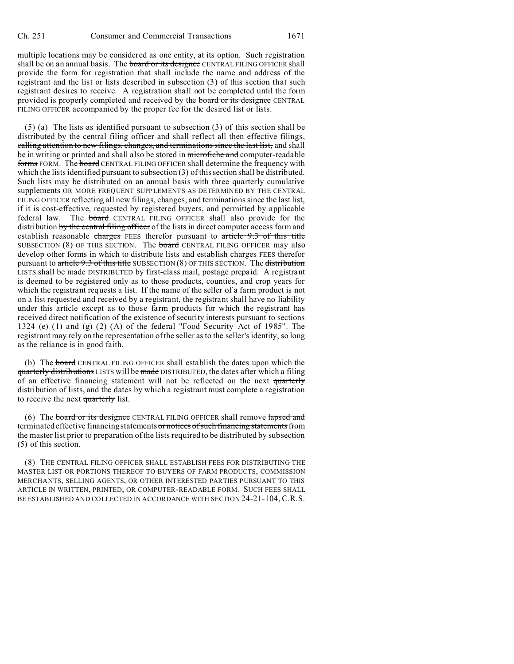multiple locations may be considered as one entity, at its option. Such registration shall be on an annual basis. The board or its designee CENTRAL FILING OFFICER shall provide the form for registration that shall include the name and address of the registrant and the list or lists described in subsection (3) of this section that such registrant desires to receive. A registration shall not be completed until the form provided is properly completed and received by the board or its designee CENTRAL FILING OFFICER accompanied by the proper fee for the desired list or lists.

(5) (a) The lists as identified pursuant to subsection (3) of this section shall be distributed by the central filing officer and shall reflect all then effective filings, calling attention to new filings, changes, and terminations since the last list, and shall be in writing or printed and shall also be stored in microfiche and computer-readable forms FORM. The board CENTRAL FILING OFFICER shall determine the frequency with which the lists identified pursuant to subsection (3) of this section shall be distributed. Such lists may be distributed on an annual basis with three quarterly cumulative supplements OR MORE FREQUENT SUPPLEMENTS AS DETERMINED BY THE CENTRAL FILING OFFICER reflecting all new filings, changes, and terminations since the last list, if it is cost-effective, requested by registered buyers, and permitted by applicable federal law. The board CENTRAL FILING OFFICER shall also provide for the distribution by the central filing officer of the lists in direct computer access form and establish reasonable charges FEES therefor pursuant to article 9.3 of this title SUBSECTION (8) OF THIS SECTION. The **board** CENTRAL FILING OFFICER may also develop other forms in which to distribute lists and establish charges FEES therefor pursuant to  $\pi$  title  $9.3$  of this title SUBSECTION (8) OF THIS SECTION. The distribution LISTS shall be made DISTRIBUTED by first-class mail, postage prepaid. A registrant is deemed to be registered only as to those products, counties, and crop years for which the registrant requests a list. If the name of the seller of a farm product is not on a list requested and received by a registrant, the registrant shall have no liability under this article except as to those farm products for which the registrant has received direct notification of the existence of security interests pursuant to sections 1324 (e) (1) and (g) (2) (A) of the federal "Food Security Act of 1985". The registrant may rely on the representation of the seller as to the seller's identity, so long as the reliance is in good faith.

(b) The board CENTRAL FILING OFFICER shall establish the dates upon which the quarterly distributions LISTS will be made DISTRIBUTED, the dates after which a filing of an effective financing statement will not be reflected on the next quarterly distribution of lists, and the dates by which a registrant must complete a registration to receive the next quarterly list.

(6) The board or its designee CENTRAL FILING OFFICER shall remove lapsed and terminated effective financing statements or notices of such financing statements from the master list prior to preparation of the lists required to be distributed by subsection (5) of this section.

(8) THE CENTRAL FILING OFFICER SHALL ESTABLISH FEES FOR DISTRIBUTING THE MASTER LIST OR PORTIONS THEREOF TO BUYERS OF FARM PRODUCTS, COMMISSION MERCHANTS, SELLING AGENTS, OR OTHER INTERESTED PARTIES PURSUANT TO THIS ARTICLE IN WRITTEN, PRINTED, OR COMPUTER-READABLE FORM. SUCH FEES SHALL BE ESTABLISHED AND COLLECTED IN ACCORDANCE WITH SECTION 24-21-104, C.R.S.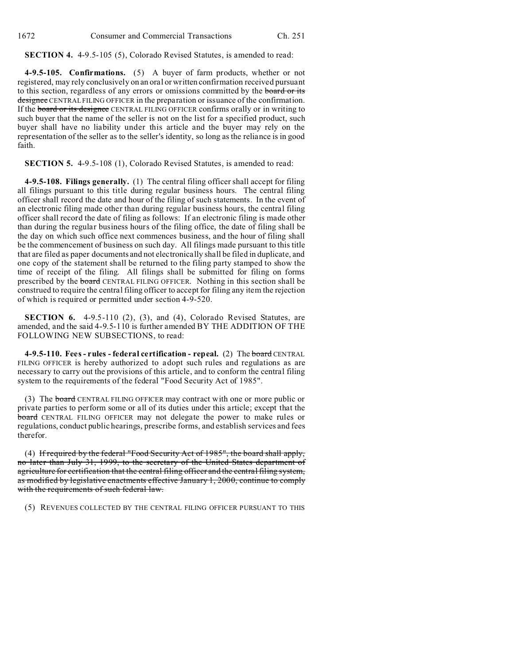**SECTION 4.** 4-9.5-105 (5), Colorado Revised Statutes, is amended to read:

**4-9.5-105. Confirmations.** (5) A buyer of farm products, whether or not registered, may rely conclusively on an oral or written confirmation received pursuant to this section, regardless of any errors or omissions committed by the board or its designee CENTRAL FILING OFFICER in the preparation or issuance of the confirmation. If the **board or its designee** CENTRAL FILING OFFICER confirms orally or in writing to such buyer that the name of the seller is not on the list for a specified product, such buyer shall have no liability under this article and the buyer may rely on the representation of the seller as to the seller's identity, so long as the reliance is in good faith.

**SECTION 5.** 4-9.5-108 (1), Colorado Revised Statutes, is amended to read:

**4-9.5-108. Filings generally.** (1) The central filing officer shall accept for filing all filings pursuant to this title during regular business hours. The central filing officer shall record the date and hour of the filing of such statements. In the event of an electronic filing made other than during regular business hours, the central filing officer shall record the date of filing as follows: If an electronic filing is made other than during the regular business hours of the filing office, the date of filing shall be the day on which such office next commences business, and the hour of filing shall be the commencement of business on such day. All filings made pursuant to this title that are filed as paper documents and not electronically shall be filed in duplicate, and one copy of the statement shall be returned to the filing party stamped to show the time of receipt of the filing. All filings shall be submitted for filing on forms prescribed by the **board** CENTRAL FILING OFFICER. Nothing in this section shall be construed to require the central filing officer to accept for filing any item the rejection of which is required or permitted under section 4-9-520.

**SECTION 6.** 4-9.5-110 (2), (3), and (4), Colorado Revised Statutes, are amended, and the said 4-9.5-110 is further amended BY THE ADDITION OF THE FOLLOWING NEW SUBSECTIONS, to read:

**4-9.5-110. Fees - rules - federal certification - repeal.** (2) The board CENTRAL FILING OFFICER is hereby authorized to adopt such rules and regulations as are necessary to carry out the provisions of this article, and to conform the central filing system to the requirements of the federal "Food Security Act of 1985".

(3) The board CENTRAL FILING OFFICER may contract with one or more public or private parties to perform some or all of its duties under this article; except that the board CENTRAL FILING OFFICER may not delegate the power to make rules or regulations, conduct public hearings, prescribe forms, and establish services and fees therefor.

(4) If required by the federal "Food Security Act of 1985", the board shall apply, no later than July 31, 1999, to the secretary of the United States department of agriculture for certification that the central filing officer and the central filing system, as modified by legislative enactments effective January 1, 2000, continue to comply with the requirements of such federal law.

(5) REVENUES COLLECTED BY THE CENTRAL FILING OFFICER PURSUANT TO THIS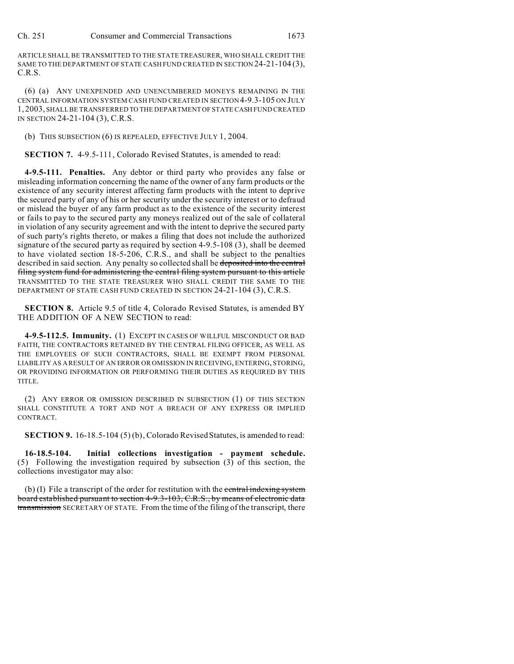ARTICLE SHALL BE TRANSMITTED TO THE STATE TREASURER, WHO SHALL CREDIT THE SAME TO THE DEPARTMENT OF STATE CASH FUND CREATED IN SECTION 24-21-104 (3), C.R.S.

(6) (a) ANY UNEXPENDED AND UNENCUMBERED MONEYS REMAINING IN THE CENTRAL INFORMATION SYSTEM CASH FUND CREATED IN SECTION 4-9.3-105 ON JULY 1, 2003, SHALL BE TRANSFERRED TO THE DEPARTMENT OF STATE CASH FUND CREATED IN SECTION 24-21-104 (3), C.R.S.

(b) THIS SUBSECTION (6) IS REPEALED, EFFECTIVE JULY 1, 2004.

**SECTION 7.** 4-9.5-111, Colorado Revised Statutes, is amended to read:

**4-9.5-111. Penalties.** Any debtor or third party who provides any false or misleading information concerning the name of the owner of any farm products or the existence of any security interest affecting farm products with the intent to deprive the secured party of any of his or her security under the security interest or to defraud or mislead the buyer of any farm product as to the existence of the security interest or fails to pay to the secured party any moneys realized out of the sale of collateral in violation of any security agreement and with the intent to deprive the secured party of such party's rights thereto, or makes a filing that does not include the authorized signature of the secured party as required by section 4-9.5-108 (3), shall be deemed to have violated section 18-5-206, C.R.S., and shall be subject to the penalties described in said section. Any penalty so collected shall be deposited into the central filing system fund for administering the central filing system pursuant to this article TRANSMITTED TO THE STATE TREASURER WHO SHALL CREDIT THE SAME TO THE DEPARTMENT OF STATE CASH FUND CREATED IN SECTION 24-21-104 (3), C.R.S.

**SECTION 8.** Article 9.5 of title 4, Colorado Revised Statutes, is amended BY THE ADDITION OF A NEW SECTION to read:

**4-9.5-112.5. Immunity.** (1) EXCEPT IN CASES OF WILLFUL MISCONDUCT OR BAD FAITH, THE CONTRACTORS RETAINED BY THE CENTRAL FILING OFFICER, AS WELL AS THE EMPLOYEES OF SUCH CONTRACTORS, SHALL BE EXEMPT FROM PERSONAL LIABILITY AS A RESULT OF AN ERROR OR OMISSION IN RECEIVING, ENTERING, STORING, OR PROVIDING INFORMATION OR PERFORMING THEIR DUTIES AS REQUIRED BY THIS TITLE.

(2) ANY ERROR OR OMISSION DESCRIBED IN SUBSECTION (1) OF THIS SECTION SHALL CONSTITUTE A TORT AND NOT A BREACH OF ANY EXPRESS OR IMPLIED CONTRACT.

**SECTION 9.** 16-18.5-104 (5) (b), Colorado Revised Statutes, is amended to read:

**16-18.5-104. Initial collections investigation - payment schedule.** (5) Following the investigation required by subsection (3) of this section, the collections investigator may also:

(b) (I) File a transcript of the order for restitution with the central indexing system board established pursuant to section 4-9.3-103, C.R.S., by means of electronic data transmission SECRETARY OF STATE. From the time of the filing of the transcript, there